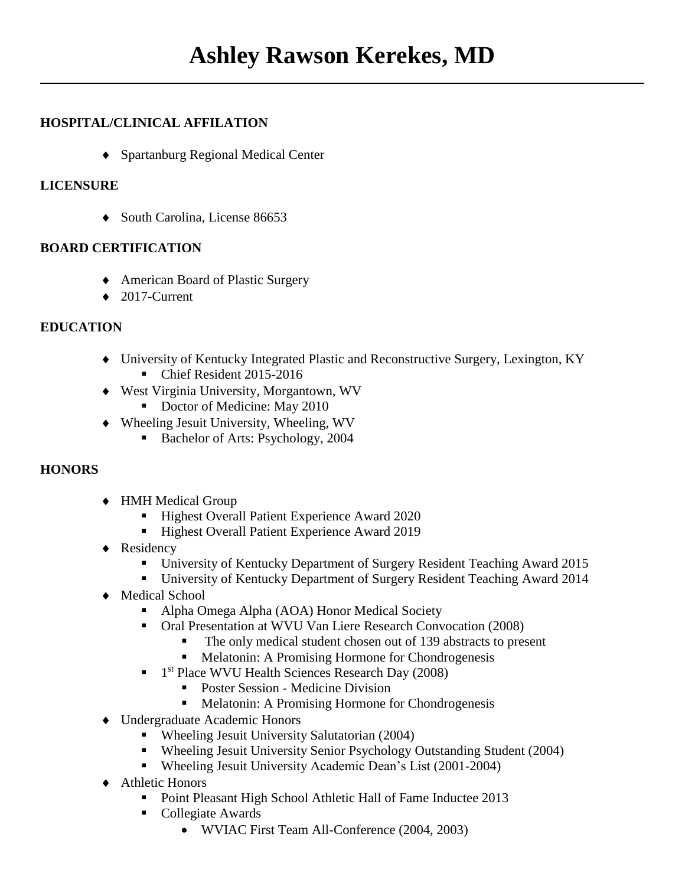# **HOSPITAL/CLINICAL AFFILATION**

◆ Spartanburg Regional Medical Center

## **LICENSURE**

◆ South Carolina, License 86653

## **BOARD CERTIFICATION**

- American Board of Plastic Surgery
- $\triangleleft$  2017-Current

## **EDUCATION**

- University of Kentucky Integrated Plastic and Reconstructive Surgery, Lexington, KY
	- Chief Resident 2015-2016
- West Virginia University, Morgantown, WV
	- Doctor of Medicine: May 2010
- Wheeling Jesuit University, Wheeling, WV
	- Bachelor of Arts: Psychology, 2004

# **HONORS**

- HMH Medical Group
	- Highest Overall Patient Experience Award 2020
	- Highest Overall Patient Experience Award 2019
- Residency
	- University of Kentucky Department of Surgery Resident Teaching Award 2015
	- University of Kentucky Department of Surgery Resident Teaching Award 2014
- ◆ Medical School
	- Alpha Omega Alpha (AOA) Honor Medical Society
	- Oral Presentation at WVU Van Liere Research Convocation (2008)
		- The only medical student chosen out of 139 abstracts to present
		- Melatonin: A Promising Hormone for Chondrogenesis
	- <sup>1st</sup> Place WVU Health Sciences Research Day (2008)
		- Poster Session Medicine Division
		- Melatonin: A Promising Hormone for Chondrogenesis
- Undergraduate Academic Honors
	- Wheeling Jesuit University Salutatorian (2004)
	- Wheeling Jesuit University Senior Psychology Outstanding Student (2004)
	- Wheeling Jesuit University Academic Dean's List (2001-2004)
- ◆ Athletic Honors
	- Point Pleasant High School Athletic Hall of Fame Inductee 2013
	- Collegiate Awards
		- WVIAC First Team All-Conference (2004, 2003)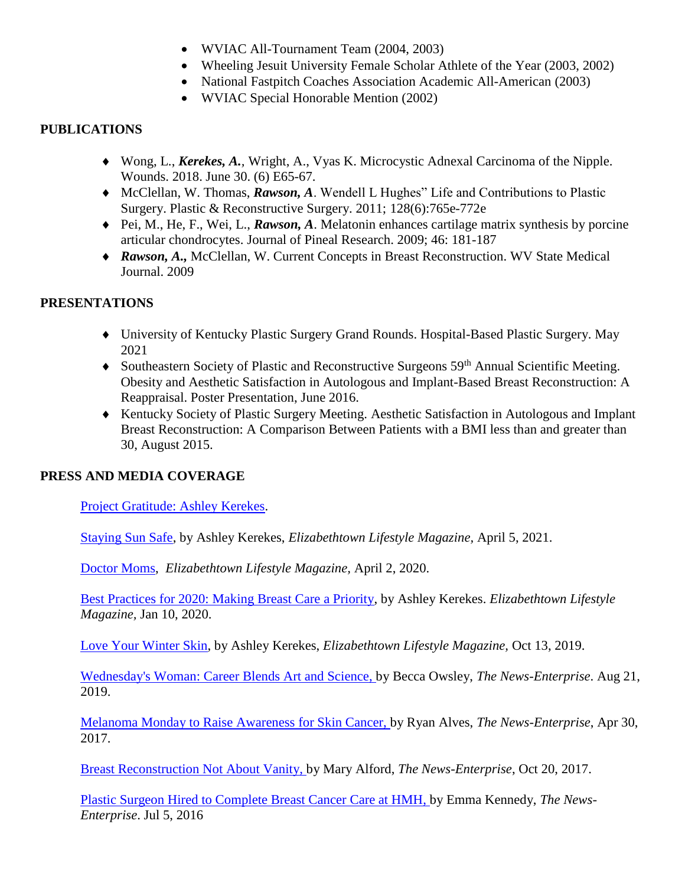- WVIAC All-Tournament Team (2004, 2003)
- Wheeling Jesuit University Female Scholar Athlete of the Year (2003, 2002)
- National Fastpitch Coaches Association Academic All-American (2003)
- WVIAC Special Honorable Mention (2002)

#### **PUBLICATIONS**

- Wong, L., *Kerekes, A.,* Wright, A., Vyas K. Microcystic Adnexal Carcinoma of the Nipple. Wounds. 2018. June 30. (6) E65-67.
- ◆ McClellan, W. Thomas, *Rawson*, A. Wendell L Hughes" Life and Contributions to Plastic Surgery. Plastic & Reconstructive Surgery. 2011; 128(6):765e-772e
- ◆ Pei, M., He, F., Wei, L., *Rawson*, A. Melatonin enhances cartilage matrix synthesis by porcine articular chondrocytes. Journal of Pineal Research. 2009; 46: 181-187
- ◆ *Rawson, A., McClellan, W. Current Concepts in Breast Reconstruction. WV State Medical* Journal. 2009

## **PRESENTATIONS**

- University of Kentucky Plastic Surgery Grand Rounds. Hospital-Based Plastic Surgery. May 2021
- $\blacklozenge$  Southeastern Society of Plastic and Reconstructive Surgeons 59<sup>th</sup> Annual Scientific Meeting. Obesity and Aesthetic Satisfaction in Autologous and Implant-Based Breast Reconstruction: A Reappraisal. Poster Presentation, June 2016.
- Kentucky Society of Plastic Surgery Meeting. Aesthetic Satisfaction in Autologous and Implant Breast Reconstruction: A Comparison Between Patients with a BMI less than and greater than 30, August 2015.

# **PRESS AND MEDIA COVERAGE**

[Project Gratitude: Ashley Kerekes.](https://baptisthealthfoundationhardin.org/project-gratitude-ashley-kerekes/)

[Staying Sun Safe,](https://issuu.com/elizabethtownlifestyle/docs/magazine7/72) by Ashley Kerekes, *Elizabethtown Lifestyle Magazine,* April 5, 2021.

[Doctor Moms,](https://issuu.com/elizabethtownlifestyle/docs/magazine3/86) *Elizabethtown Lifestyle Magazine,* April 2, 2020.

[Best Practices for 2020: Making Breast Care a Priority,](https://issuu.com/elizabethtownlifestyle/docs/issuuformat/104) by Ashley Kerekes. *Elizabethtown Lifestyle Magazine,* Jan 10, 2020.

[Love Your Winter Skin,](https://issuu.com/elizabethtownlifestyle/docs/eloctober/24) by Ashley Kerekes, *Elizabethtown Lifestyle Magazine,* Oct 13, 2019.

[Wednesday's Woman: Career Blends Art and Science,](https://www.thenewsenterprise.com/features/wednesdays_woman/career-blends-art-and-science/article_acebed15-4dc8-5cd6-9077-61328fdf4c9c.html) by Becca Owsley, *The News-Enterprise*. Aug 21, 2019.

[Melanoma Monday to Raise Awareness for Skin Cancer,](https://www.thenewsenterprise.com/news/local/melanoma-monday-to-raise-awareness-for-skin-cancer/article_22c0ddbd-11ba-5806-843b-02bc3c71f7bd.html) by Ryan Alves, *The News-Enterprise*, Apr 30, 2017.

[Breast Reconstruction Not About Vanity,](https://www.thenewsenterprise.com/news/local/breast-reconstruction-not-about-vanity/article_f93cbb67-925a-579b-bb34-ff54252d2f41.html) by Mary Alford, *The News-Enterprise*, Oct 20, 2017.

[Plastic Surgeon Hired to Complete Breast Cancer Care at HMH,](https://www.thenewsenterprise.com/news/local/plastic-surgeon-hired-to-complete-breast-cancer-care-at-hmh/article_2f5e2322-6755-54d5-83bd-8535aafdf05c.html) by Emma Kennedy, *The News-Enterprise*. Jul 5, 2016